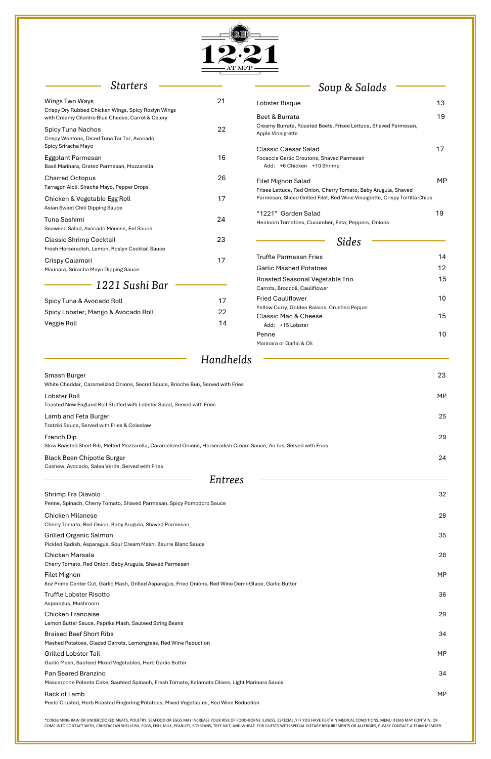\*CONSUMING RAW OR UNDERCOOKED MEATS, POULTRY, SEAFOOD OR EGGS MAY INCREASE YOUR RISK OF FOOD-BORNE ILLNESS, ESPECIALLY IF YOU HAVE CERTAIN MEDICAL CONDITIONS. MENU ITEMS MAY CONTAIN, OR COME INTO CONTACT WITH, CRUSTACEAN SHELLFISH, EGGS, FISH, MILK, PEANUTS, SOYBEANS, TREE NUT, AND WHEAT. FOR GUESTS WITH SPECIAL DIETARY REQUIREMENTS OR ALLERGIES, PLEASE CONTACT A TEAM MEMBER.



### *Starters*

Lamb and Feta Burger 25 Tzatziki Sauce, Served with Fries & Coleslaw

| Soup & Salads |  |  |
|---------------|--|--|

Black Bean Chipotle Burger 24 Cashew, Avocado, Salsa Verde, Served with Fries

| Wings Two Ways                                                                                           | 21        | Lobster Bisque                                                                                         | 13        |
|----------------------------------------------------------------------------------------------------------|-----------|--------------------------------------------------------------------------------------------------------|-----------|
| Crispy Dry Rubbed Chicken Wings, Spicy Roslyn Wings<br>with Creamy Cilantro Blue Cheese, Carrot & Celery |           | Beet & Burrata                                                                                         | 19        |
| <b>Spicy Tuna Nachos</b><br>Crispy Wontons, Diced Tuna Tar Tar, Avocado,<br>Spicy Sriracha Mayo          | 22        | Creamy Burrata, Roasted Beets, Frisee Lettuce, Shaved Parmesan,<br>Apple Vinaigrette                   |           |
| Eggplant Parmesan<br>Basil Marinara, Grated Parmesan, Mozzarella                                         | 16        | <b>Classic Caesar Salad</b><br>Focaccia Garlic Croutons, Shaved Parmesan<br>Add: +6 Chicken +10 Shrimp | 17        |
| <b>Charred Octopus</b><br>Tarragon Aioli, Siracha Mayo, Pepper Drops                                     | 26        | <b>Filet Mignon Salad</b><br>Frisee Lettuce, Red Onion, Cherry Tomato, Baby Arugula, Shaved            | <b>MP</b> |
| Chicken & Vegetable Egg Roll<br>Asian Sweet Chili Dipping Sauce                                          | 17        | Parmesan, Sliced Grilled Filet, Red Wine Vinaigrette, Crispy Tortilla Chips                            |           |
| Tuna Sashimi<br>Seaweed Salad, Avocado Mousse, Eel Sauce                                                 | 24        | "1221" Garden Salad<br>Heirloom Tomatoes, Cucumber, Feta, Peppers, Onions                              | 19        |
| <b>Classic Shrimp Cocktail</b><br>Fresh Horseradish, Lemon, Roslyn Cocktail Sauce                        | 23        | <b>Sides</b>                                                                                           |           |
| Crispy Calamari                                                                                          | 17        | <b>Truffle Parmesan Fries</b>                                                                          | 14        |
| Marinara, Sriracha Mayo Dipping Sauce                                                                    |           | <b>Garlic Mashed Potatoes</b>                                                                          | 12        |
| 1221 Sushi Bar                                                                                           |           | Roasted Seasonal Vegetable Trio<br>Carrots, Broccoli, Cauliflower                                      | 15        |
| Spicy Tuna & Avocado Roll                                                                                | 17        | <b>Fried Cauliflower</b><br>Yellow Curry, Golden Raisins, Crushed Pepper                               | 10        |
| Spicy Lobster, Mango & Avocado Roll<br>Veggie Roll                                                       | 22<br>14  | <b>Classic Mac &amp; Cheese</b><br>Add: +15 Lobster                                                    | 15        |
|                                                                                                          |           | Penne<br>Marinara or Garlic & Oil                                                                      | 10        |
|                                                                                                          | Handhelds |                                                                                                        |           |
| Smash Burger<br>White Cheddar, Caramelized Onions, Secret Sauce, Brioche Bun, Served with Fries          |           |                                                                                                        | 23        |
| Lobster Roll                                                                                             |           |                                                                                                        | <b>MP</b> |
| Toasted New England Roll Stuffed with Lobster Salad, Served with Fries                                   |           |                                                                                                        |           |

Grilled Organic Salmon 35 Pickled Radish, Asparagus, Sour Cream Mash, Beurre Blanc Sauce

French Dip 29 Slow Roasted Short Rib, Melted Mozzarella, Caramelized Onions, Horseradish Cream Sauce, Au Jus, Served with Fries

### *Entrees*

Shrimp Fra Diavolo 32 Penne, Spinach, Cherry Tomato, Shaved Parmesan, Spicy Pomodoro Sauce

Chicken Milanese 28 Cherry Tomato, Red Onion, Baby Arugula, Shaved Parmesan

Chicken Marsala 28

| Cherry Tomato, Red Onion, Baby Arugula, Shaved Parmesan                                                                       |     |
|-------------------------------------------------------------------------------------------------------------------------------|-----|
| <b>Filet Mignon</b><br>8oz Prime Center Cut, Garlic Mash, Grilled Asparagus, Fried Onions, Red Wine Demi-Glace, Garlic Butter | MP. |
| Truffle Lobster Risotto<br>Asparagus, Mushroom                                                                                | 36  |
| <b>Chicken Francaise</b><br>Lemon Butter Sauce, Paprika Mash, Sauteed String Beans                                            | 29  |
| <b>Braised Beef Short Ribs</b><br>Mashed Potatoes, Glazed Carrots, Lemongrass, Red Wine Reduction                             | 34  |
| <b>Grilled Lobster Tail</b><br>Garlic Mash, Sauteed Mixed Vegetables, Herb Garlic Butter                                      | MP. |
| Pan Seared Branzino<br>Mascarpone Polenta Cake, Sauteed Spinach, Fresh Tomato, Kalamata Olives, Light Marinara Sauce          | 34  |
| Rack of Lamb<br>Pesto Crusted, Herb Roasted Fingerling Potatoes, Mixed Vegetables, Red Wine Reduction                         | MP. |